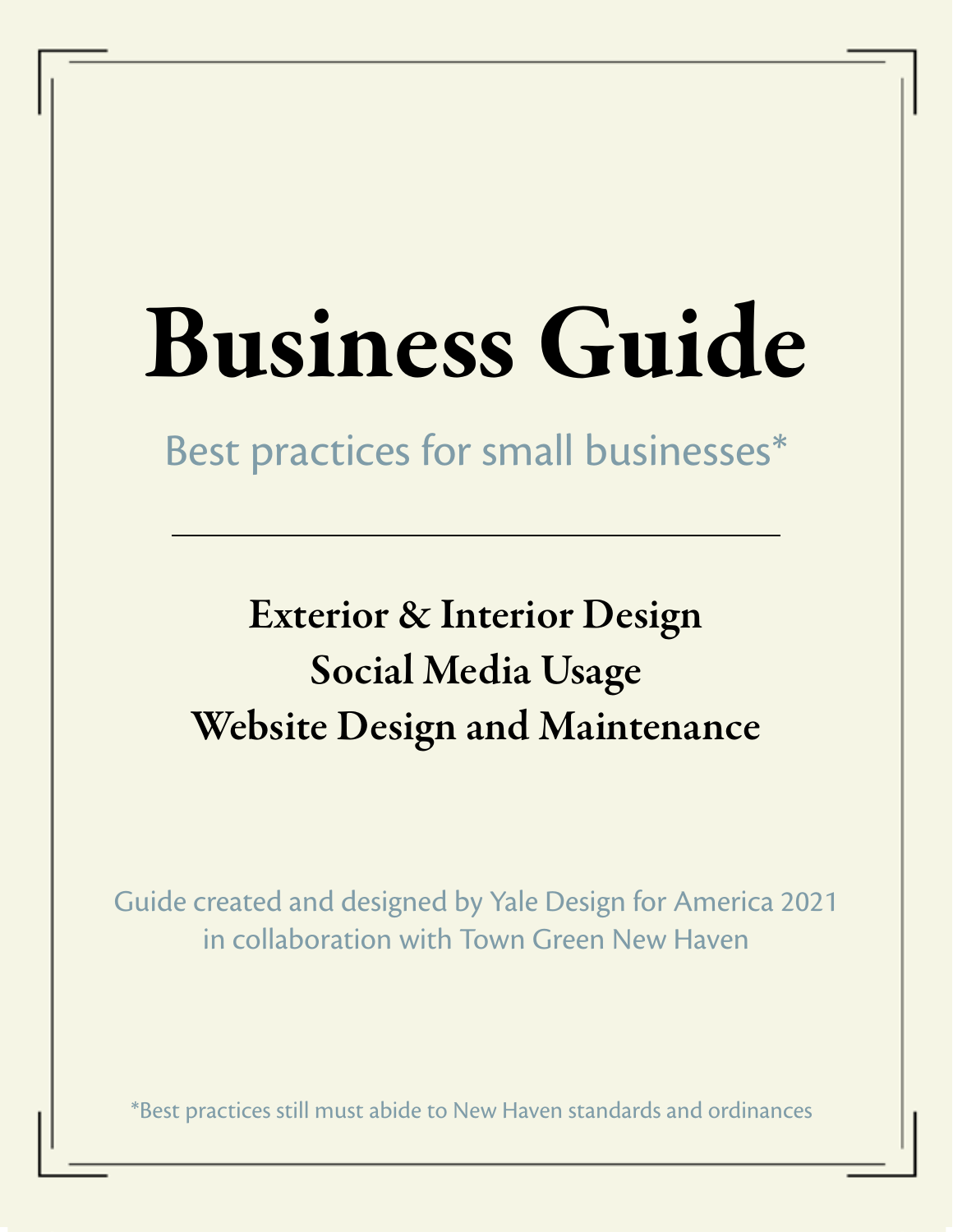# Business Guide

Best practices for small businesses\*

# Exterior & Interior Design Social Media Usage Website Design and Maintenance

Guide created and designed by Yale Design for America 2021 in collaboration with Town Green New Haven

\*Best practices still must abide to New Haven standards and ordinances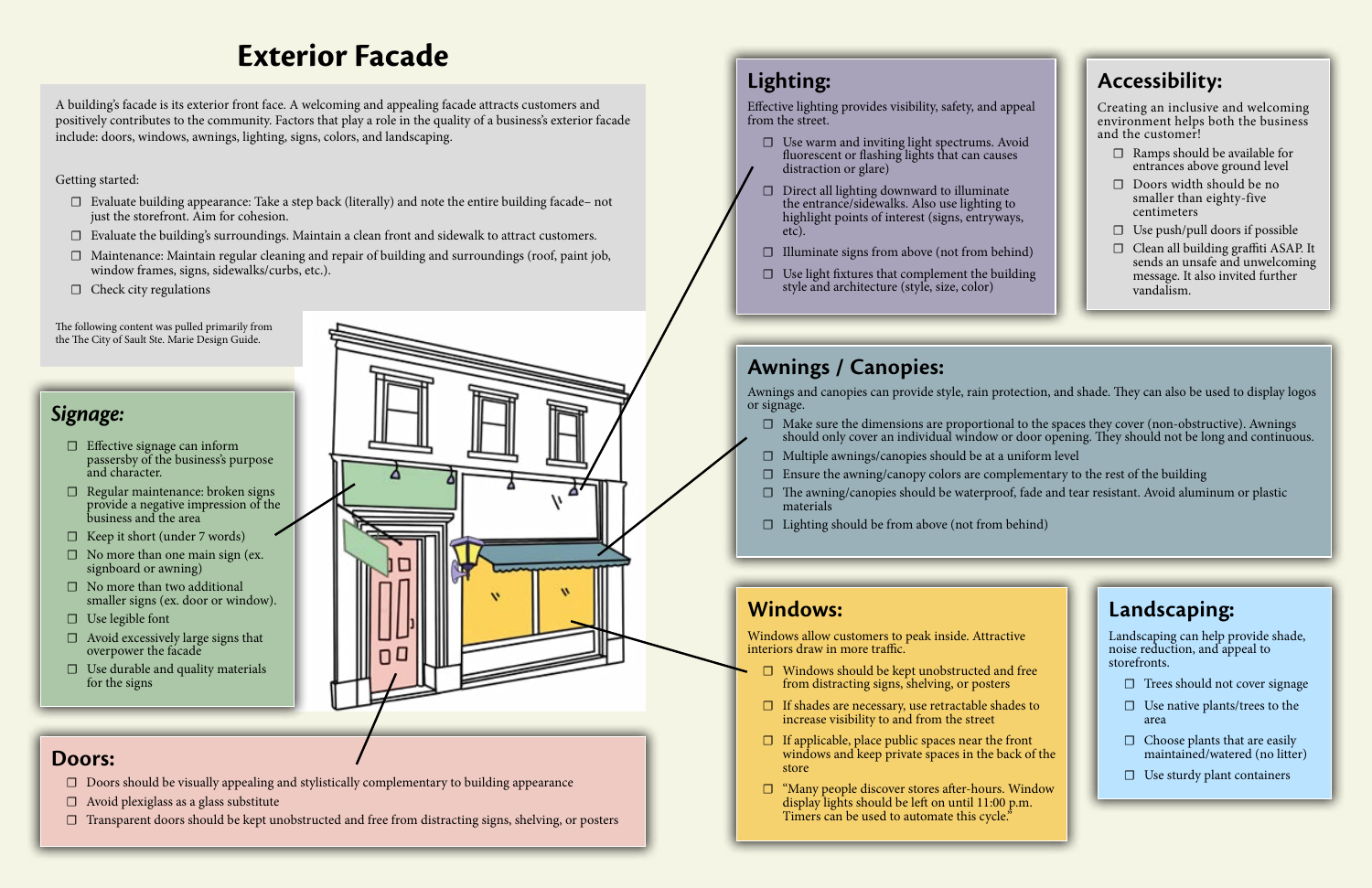# **Exterior Facade**

# *Signage:*

- □ Effective signage can inform passersby of the business's purpose and character.
- □ Regular maintenance: broken signs provide a negative impression of the business and the area
- $\Box$  Keep it short (under 7 words)
- $\Box$  No more than one main sign (ex. signboard or awning)
- $\Box$  No more than two additional smaller signs (ex. door or window).
- □ Use legible font
- $\Box$  Avoid excessively large signs that overpower the facade
- $\Box$  Use durable and quality materials for the signs



Effective lighting provides visibility, safety, and a from the street.

# **Doors:**

- $\Box$  Use warm and inviting light spectrums. A fluorescent or flashing lights that can caus distraction or glare)
- ☐ Direct all lighting downward to illuminate the entrance/sidewalks. Also use lighting highlight points of interest (signs, entryway etc).
- $\Box$  Illuminate signs from above (not from beh
- $\Box$  Use light fixtures that complement the building style and architecture (style, size, color)

- ☐ Doors should be visually appealing and stylistically complementary to building appearance
- $\Box$  Avoid plexiglass as a glass substitute
- ☐ Transparent doors should be kept unobstructed and free from distracting signs, shelving, or posters

# **Lighting:**

Windows allow customers to peak inside. Attractive interiors draw in more traffic.

- $\Box$  Windows should be kept unobstructed an from distracting signs, shelving, or posters
- $\Box$  If shades are necessary, use retractable sha increase visibility to and from the street
- $\Box$  If applicable, place public spaces near the f windows and keep private spaces in the ba store
- $\Box$  "Many people discover stores after-hours. display lights should be left on until  $11:00$ Timers can be used to automate this cycle.

# **Awnings / Canopies:**

Awnings and canopies can provide style, rain protection, and shade. They can also be used to display logos

or signage.

- $\Box$  Make sure the dimensions are proportional to the spaces they cover (non-obstructive). Awnings should only cover an individual window or door opening. They should not be long and continuous.
- $\Box$  Multiple awnings/canopies should be at a uniform level
- $\Box$  Ensure the awning/canopy colors are complementary to the rest of the building
- $\Box$  The awning/canopies should be waterproof, fade and tear resistant. Avoid aluminum or plastic materials
- $\Box$  Lighting should be from above (not from behind)

# **Windows:**

A building's facade is its exterior front face. A welcoming and appealing facade attracts customers and positively contributes to the community. Factors that play a role in the quality of a business's exterior facade include: doors, windows, awnings, lighting, signs, colors, and landscaping.

Getting started:

- $\Box$  Evaluate building appearance: Take a step back (literally) and note the entire building facade– not just the storefront. Aim for cohesion.
- ☐ Evaluate the building's surroundings. Maintain a clean front and sidewalk to attract customers.
- ☐ Maintenance: Maintain regular cleaning and repair of building and surroundings (roof, paint job, window frames, signs, sidewalks/curbs, etc.).
- $\Box$  Check city regulations

The following content was pulled primarily from the The City of Sault Ste. Marie Design Guide.

|                 | <b>Accessibility:</b>                                                                                                     |
|-----------------|---------------------------------------------------------------------------------------------------------------------------|
| ppeal<br>void   | Creating an inclusive and welcoming<br>environment helps both the business<br>and the customer!                           |
| es              | Ramps should be available for<br>entrances above ground level                                                             |
| to<br>ays,      | Doors width should be no<br>smaller than eighty-five<br>centimeters                                                       |
|                 | Use push/pull doors if possible                                                                                           |
| (hind<br>ilding | Clean all building graffiti ASAP. It<br>sends an unsafe and unwelcoming<br>message. It also invited further<br>vandalism. |

|                     | Landscaping:                                                                          |  |
|---------------------|---------------------------------------------------------------------------------------|--|
| tive<br>d free      | Landscaping can help provide shade,<br>noise reduction, and appeal to<br>storefronts. |  |
|                     | Trees should not cover signage                                                        |  |
| ides to             | Use native plants/trees to the<br>area                                                |  |
| front<br>ack of the | Choose plants that are easily<br>maintained/watered (no litter)                       |  |
| Window<br>P.m.      | Use sturdy plant containers<br>Ш                                                      |  |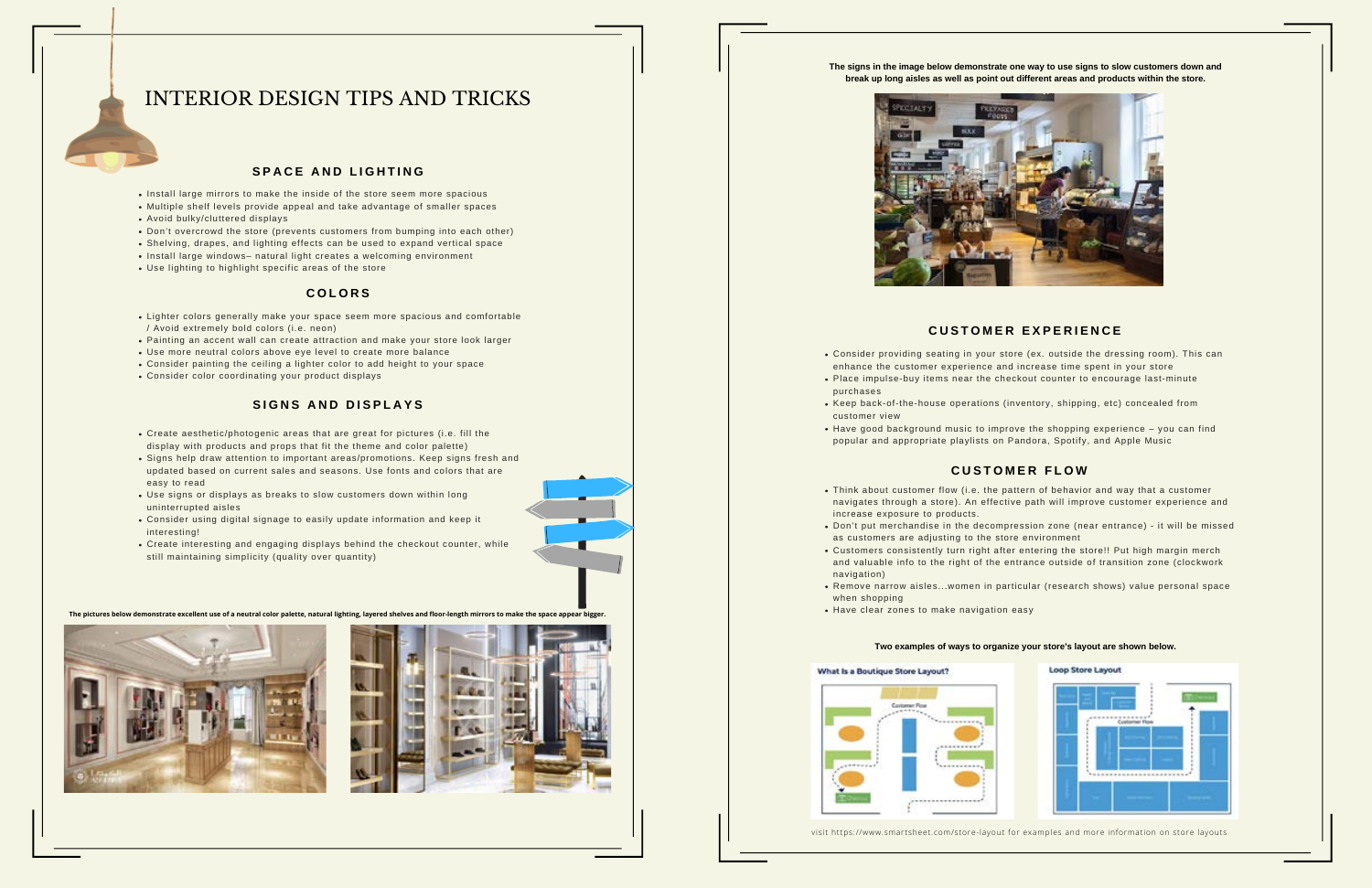- Install large mirrors to make the inside of the store seem more spacious
- Multiple shelf levels provide appeal and take advantage of smaller spaces Avoid bulky/cluttered displays
- Don't overcrowd the store (prevents customers from bumping into each other)
- Shelving, drapes, and lighting effects can be used to expand vertical space
- Install large windows- natural light creates a welcoming environment
- Use lighting to highlight specific areas of the store

# INTERIOR DESIGN TIPS AND TRICKS

# $SPACE$  **AND LIGHTING**

- Lighter colors generally make your space seem more spacious and comfortable / Avoid extremely bold colors (i.e. neon)
- Painting an accent wall can create attraction and make your store look larger
- Use more neutral colors above eye level to create more balance
- Consider painting the ceiling a lighter color to add height to your space
- Consider color coordinating your product displays

# $B$  **SIGNS AND DISPLAYS**

# **C O L O R S**

**The pictures below demonstrate excellent use of a neutral color palette, natural lighting, layered shelves and floor-length mirrors to make the space appear bigger.**





- Create aesthetic/photogenic areas that are great for pictures (i.e. fill the display with products and props that fit the theme and color palette)
- Signs help draw attention to important areas/promotions. Keep signs fresh and updated based on current sales and seasons. Use fonts and colors that are easy to read
- Use signs or displays as breaks to slow customers down within long uninterrupted aisles
- Consider using digital signage to easily update information and keep it interesting!
- Create interesting and engaging displays behind the checkout counter, while still maintaining simplicity (quality over quantity)

**The signs in the image below demonstrate one way to use signs to slow customers down and break up long aisles as well as point out different areas and products within the store.**



Think about customer flow (i.e. the pattern of behavior and way that a customer navigates through a store). An effective path will improve customer experience and

Don't put merchandise in the decompression zone (near entrance) - it will be missed

- increase exposure to products.
- as customers are adjusting to the store environment
- Customers consistently turn right after entering the store!! Put high margin merch
- navigation)
- when shopping
- Have clear zones to make navigation easy

### What Is a Boutique Store Layout?



and valuable info to the right of the entrance outside of transition zone (clockwork

Remove narrow aisles...women in particular (research shows) value personal space

# **C U S T O M E R F L O W**

Consider providing seating in your store (ex. outside the dressing room). This can enhance the customer experience and increase time spent in your store Place impulse-buy items near the checkout counter to encourage last-minute

• Have good background music to improve the shopping experience – you can find

- 
- purchases
- Keep back-of-the-house operations (inventory, shipping, etc) concealed from customer view
- popular and appropriate playlists on Pandora, Spotify, and Apple Music

visit https://www.smartsheet.com/store-layout for examples and more information on store layouts

# $L$  **CUSTOMER EXPERIENCE**

### **Two examples of ways to organize your store's layout are shown below.**

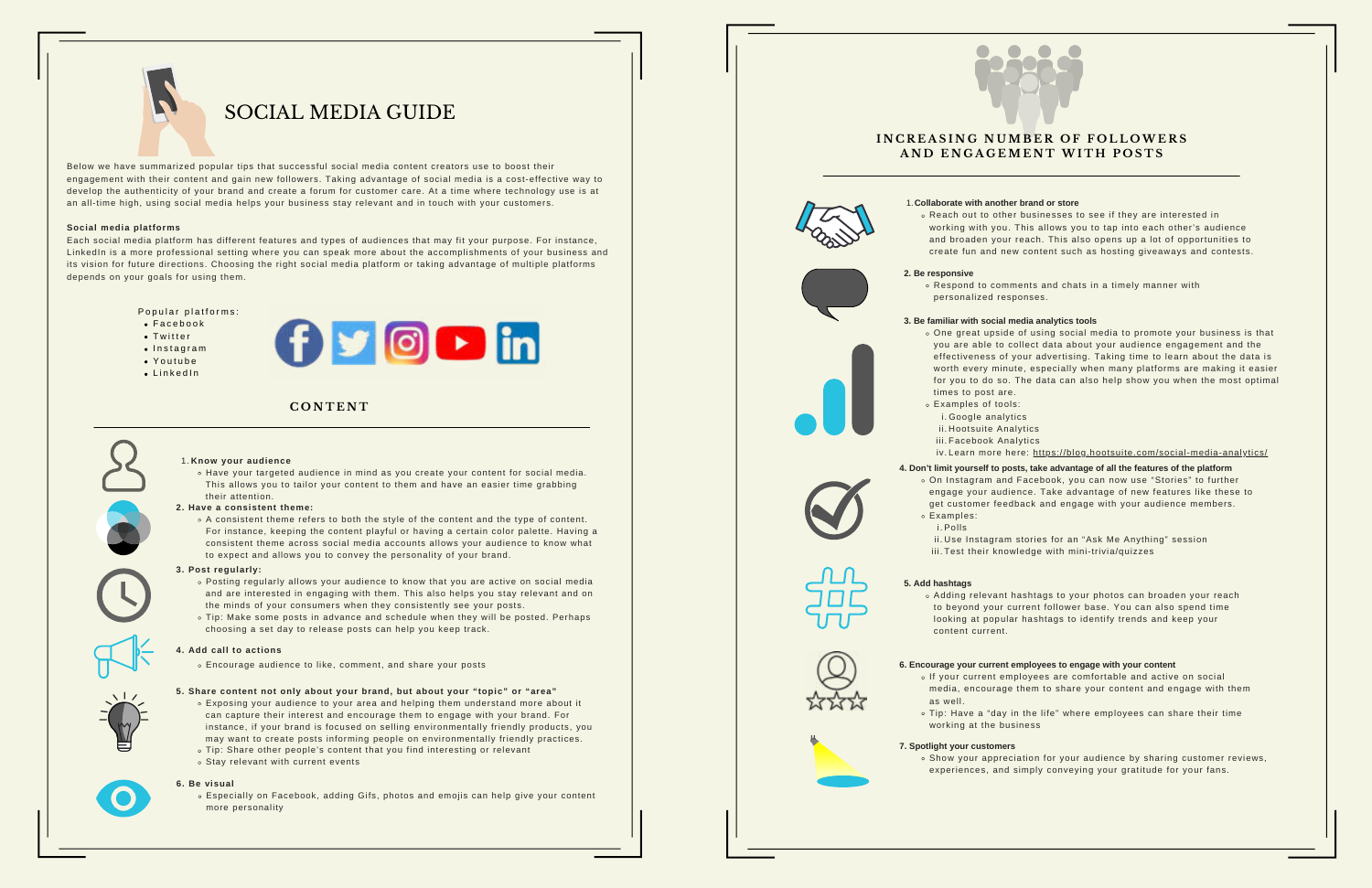Below we have summarized popular tips that successful social media content creators use to boost their engagement with their content and gain new followers. Taking advantage of social media is a cost-effective way to develop the authenticity of your brand and create a forum for customer care. At a time where technology use is at an all-time high, using social media helps your business stay relevant and in touch with your customers.

### **Social media platforms**

Each social media platform has different features and types of audiences that may fit your purpose. For instance, LinkedIn is a more professional setting where you can speak more about the accomplishments of your business and its vision for future directions. Choosing the right social media platform or taking advantage of multiple platforms depends on your goals for using them.

Popular platforms:

- $\bullet$  Facebook
- $\bullet$  Twitter
- $\bullet$  Instagram
- $\bullet$  Youtube
- $\bullet$  Linked In



- Exposing your audience to your area and helping them understand more about it can capture their interest and encourage them to engage with your brand. For instance, if your brand is focused on selling environmentally friendly products, you may want to create posts informing people on environmentally friendly practices.
- Tip: Share other people's content that you find interesting or relevant
- $\circ$  Stay relevant with current events

# **Know your audience** 1.

Have your targeted audience in mind as you create your content for social media. This allows you to tailor your content to them and have an easier time grabbing their attention.

A consistent theme refers to both the style of the content and the type of content. For instance, keeping the content playful or having a certain color palette. Having a consistent theme across social media accounts allows your audience to know what to expect and allows you to convey the personality of your brand.

### **2. Have a consistent theme:**

- times to post are.
- Examples of tools: i.Google analytics
	- ii.Hootsuite Analytics iii. Facebook Analytics

- Posting regularly allows your audience to know that you are active on social media and are interested in engaging with them. This also helps you stay relevant and on the minds of your consumers when they consistently see your posts.
- Tip: Make some posts in advance and schedule when they will be posted. Perhaps choosing a set day to release posts can help you keep track.
- 
- Examples:
- i. Polls
- 
- 

### **3. Post regularly:**

Encourage audience to like, comment, and share your posts

### **4. Add call to actions**

. Show your appreciation for your audience by sharing customer reviews, experiences, and simply conveying your gratitude for your fans.

### **5. Share content not only about your brand, but about your "topic" or "area"**

Especially on Facebook, adding Gifs, photos and emojis can help give your content more personality





























# **C O N T E N T**

















# SOCIAL MEDIA GUIDE

One great upside of using social media to promote your business is that you are able to collect data about your audience engagement and the effectiveness of your advertising. Taking time to learn about the data is worth every minute, especially when many platforms are making it easier for you to do so. The data can also help show you when the most optimal

- 
- 

iv.Learn more here: <u>https://blog.hootsuite.com/social-media-analytics/</u>

### **3. Be familiar with social media analytics tools**

engage your audience. Take advantage of new features like these to get customer feedback and engage with your audience members.

ii.Use Instagram stories for an "Ask Me Anything" session iii.Test their knowledge with mini-trivia/quizzes

On Instagram and Facebook, you can now use "Stories" to further **4. Don't limit yourself to posts, take advantage of all the features of the platform**

### **Collaborate with another brand or store** 1.

Reach out to other businesses to see if they are interested in working with you. This allows you to tap into each other's audience and broaden your reach. This also opens up a lot of opportunities to create fun and new content such as hosting giveaways and contests.

# **I N C R E A S I N G N UMB E R O F F O L L OWE R S A N D E N G A G EME N T WI T H P O S T S**

Respond to comments and chats in a timely manner with

personalized responses.

### **2. Be responsive**

Adding relevant hashtags to your photos can broaden your reach to beyond your current follower base. You can also spend time looking at popular hashtags to identify trends and keep your

- 
- content current.

## **5. Add hashtags**

If your current employees are comfortable and active on social media, encourage them to share your content and engage with them













Tip: Have a "day in the life" where employees can share their time

working at the business



- 
- 
- 
- 

# **6. Encourage your current employees to engage with your content**

- 
- 

# **7. Spotlight your customers**